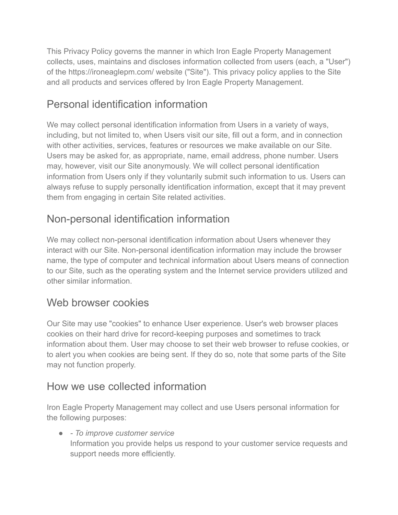This Privacy Policy governs the manner in which Iron Eagle Property Management collects, uses, maintains and discloses information collected from users (each, a "User") of the https://ironeaglepm.com/ website ("Site"). This privacy policy applies to the Site and all products and services offered by Iron Eagle Property Management.

# Personal identification information

We may collect personal identification information from Users in a variety of ways, including, but not limited to, when Users visit our site, fill out a form, and in connection with other activities, services, features or resources we make available on our Site. Users may be asked for, as appropriate, name, email address, phone number. Users may, however, visit our Site anonymously. We will collect personal identification information from Users only if they voluntarily submit such information to us. Users can always refuse to supply personally identification information, except that it may prevent them from engaging in certain Site related activities.

# Non-personal identification information

We may collect non-personal identification information about Users whenever they interact with our Site. Non-personal identification information may include the browser name, the type of computer and technical information about Users means of connection to our Site, such as the operating system and the Internet service providers utilized and other similar information.

## Web browser cookies

Our Site may use "cookies" to enhance User experience. User's web browser places cookies on their hard drive for record-keeping purposes and sometimes to track information about them. User may choose to set their web browser to refuse cookies, or to alert you when cookies are being sent. If they do so, note that some parts of the Site may not function properly.

## How we use collected information

Iron Eagle Property Management may collect and use Users personal information for the following purposes:

● *- To improve customer service* Information you provide helps us respond to your customer service requests and support needs more efficiently.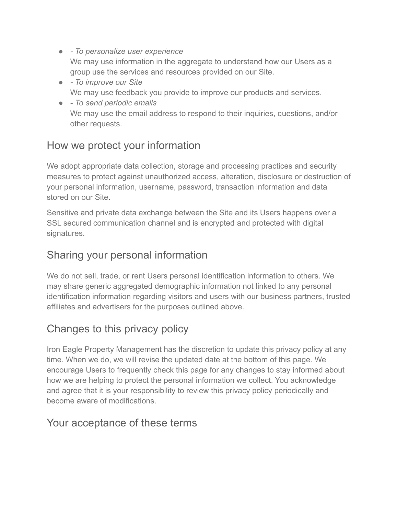- *To personalize user experience* We may use information in the aggregate to understand how our Users as a group use the services and resources provided on our Site.
- *To improve our Site* We may use feedback you provide to improve our products and services.
- *To send periodic emails* We may use the email address to respond to their inquiries, questions, and/or other requests.

### How we protect your information

We adopt appropriate data collection, storage and processing practices and security measures to protect against unauthorized access, alteration, disclosure or destruction of your personal information, username, password, transaction information and data stored on our Site.

Sensitive and private data exchange between the Site and its Users happens over a SSL secured communication channel and is encrypted and protected with digital signatures.

### Sharing your personal information

We do not sell, trade, or rent Users personal identification information to others. We may share generic aggregated demographic information not linked to any personal identification information regarding visitors and users with our business partners, trusted affiliates and advertisers for the purposes outlined above.

## Changes to this privacy policy

Iron Eagle Property Management has the discretion to update this privacy policy at any time. When we do, we will revise the updated date at the bottom of this page. We encourage Users to frequently check this page for any changes to stay informed about how we are helping to protect the personal information we collect. You acknowledge and agree that it is your responsibility to review this privacy policy periodically and become aware of modifications.

#### Your acceptance of these terms